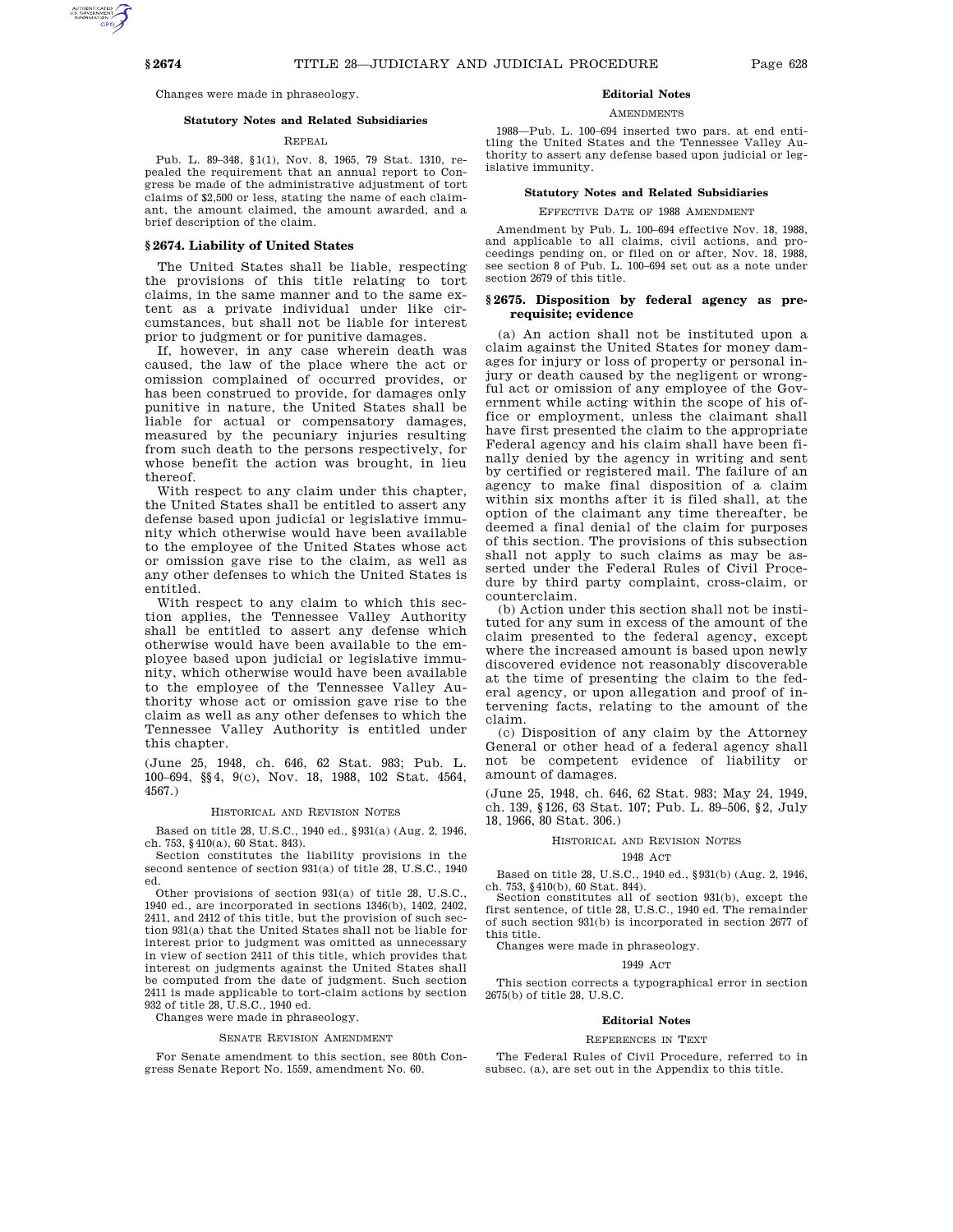Changes were made in phraseology.

# **Statutory Notes and Related Subsidiaries**

# REPEAL

Pub. L. 89–348, §1(1), Nov. 8, 1965, 79 Stat. 1310, repealed the requirement that an annual report to Congress be made of the administrative adjustment of tort claims of \$2,500 or less, stating the name of each claimant, the amount claimed, the amount awarded, and a brief description of the claim.

# **§ 2674. Liability of United States**

The United States shall be liable, respecting the provisions of this title relating to tort claims, in the same manner and to the same extent as a private individual under like circumstances, but shall not be liable for interest prior to judgment or for punitive damages.

If, however, in any case wherein death was caused, the law of the place where the act or omission complained of occurred provides, or has been construed to provide, for damages only punitive in nature, the United States shall be liable for actual or compensatory damages, measured by the pecuniary injuries resulting from such death to the persons respectively, for whose benefit the action was brought, in lieu thereof.

With respect to any claim under this chapter, the United States shall be entitled to assert any defense based upon judicial or legislative immunity which otherwise would have been available to the employee of the United States whose act or omission gave rise to the claim, as well as any other defenses to which the United States is entitled.

With respect to any claim to which this section applies, the Tennessee Valley Authority shall be entitled to assert any defense which otherwise would have been available to the employee based upon judicial or legislative immunity, which otherwise would have been available to the employee of the Tennessee Valley Authority whose act or omission gave rise to the claim as well as any other defenses to which the Tennessee Valley Authority is entitled under this chapter.

(June 25, 1948, ch. 646, 62 Stat. 983; Pub. L. 100–694, §§4, 9(c), Nov. 18, 1988, 102 Stat. 4564, 4567.)

# HISTORICAL AND REVISION NOTES

Based on title 28, U.S.C., 1940 ed., §931(a) (Aug. 2, 1946, ch. 753, §410(a), 60 Stat. 843).

Section constitutes the liability provisions in the second sentence of section 931(a) of title 28, U.S.C., 1940 ed.

Other provisions of section 931(a) of title 28, U.S.C., 1940 ed., are incorporated in sections 1346(b), 1402, 2402, 2411, and 2412 of this title, but the provision of such section 931(a) that the United States shall not be liable for interest prior to judgment was omitted as unnecessary in view of section 2411 of this title, which provides that interest on judgments against the United States shall be computed from the date of judgment. Such section 2411 is made applicable to tort-claim actions by section 932 of title 28, U.S.C., 1940 ed.

Changes were made in phraseology.

#### SENATE REVISION AMENDMENT

For Senate amendment to this section, see 80th Congress Senate Report No. 1559, amendment No. 60.

# **Editorial Notes**

**AMENDMENTS** 

1988—Pub. L. 100–694 inserted two pars. at end entitling the United States and the Tennessee Valley Authority to assert any defense based upon judicial or legislative immunity.

# **Statutory Notes and Related Subsidiaries**

EFFECTIVE DATE OF 1988 AMENDMENT

Amendment by Pub. L. 100–694 effective Nov. 18, 1988, and applicable to all claims, civil actions, and proceedings pending on, or filed on or after, Nov. 18, 1988, see section 8 of Pub. L. 100–694 set out as a note under section 2679 of this title.

# **§ 2675. Disposition by federal agency as prerequisite; evidence**

(a) An action shall not be instituted upon a claim against the United States for money damages for injury or loss of property or personal injury or death caused by the negligent or wrongful act or omission of any employee of the Government while acting within the scope of his office or employment, unless the claimant shall have first presented the claim to the appropriate Federal agency and his claim shall have been finally denied by the agency in writing and sent by certified or registered mail. The failure of an agency to make final disposition of a claim within six months after it is filed shall, at the option of the claimant any time thereafter, be deemed a final denial of the claim for purposes of this section. The provisions of this subsection shall not apply to such claims as may be asserted under the Federal Rules of Civil Procedure by third party complaint, cross-claim, or counterclaim.

(b) Action under this section shall not be instituted for any sum in excess of the amount of the claim presented to the federal agency, except where the increased amount is based upon newly discovered evidence not reasonably discoverable at the time of presenting the claim to the federal agency, or upon allegation and proof of intervening facts, relating to the amount of the claim.

(c) Disposition of any claim by the Attorney General or other head of a federal agency shall not be competent evidence of liability or amount of damages.

(June 25, 1948, ch. 646, 62 Stat. 983; May 24, 1949, ch. 139, §126, 63 Stat. 107; Pub. L. 89–506, §2, July 18, 1966, 80 Stat. 306.)

# HISTORICAL AND REVISION NOTES

# 1948 ACT

Based on title 28, U.S.C., 1940 ed., §931(b) (Aug. 2, 1946, ch. 753, §410(b), 60 Stat. 844).

Section constitutes all of section 931(b), except the first sentence, of title 28, U.S.C., 1940 ed. The remainder of such section 931(b) is incorporated in section 2677 of this title.

Changes were made in phraseology.

#### 1949 ACT

This section corrects a typographical error in section 2675(b) of title 28, U.S.C.

#### **Editorial Notes**

#### REFERENCES IN TEXT

The Federal Rules of Civil Procedure, referred to in subsec. (a), are set out in the Appendix to this title.